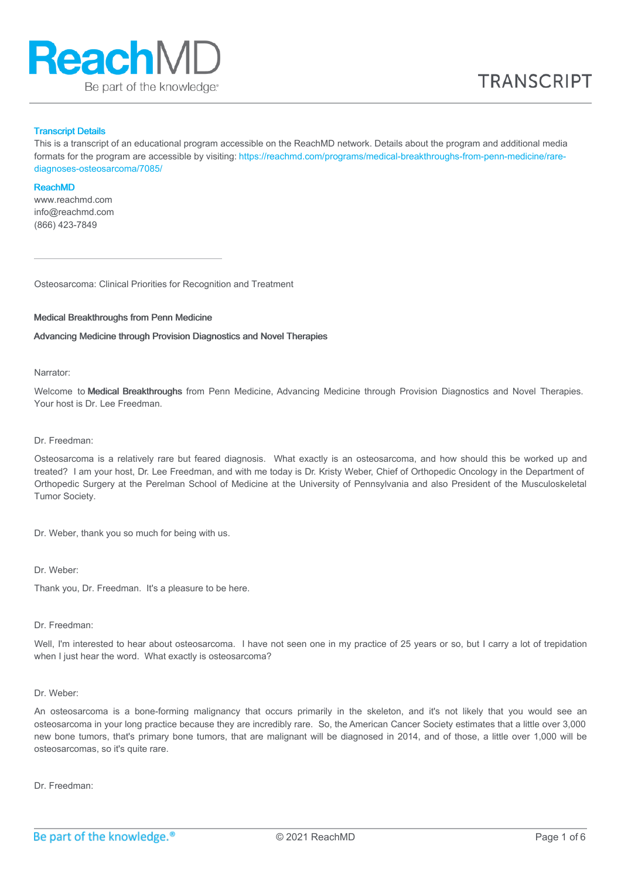

#### Transcript Details

This is a transcript of an educational program accessible on the ReachMD network. Details about the program and additional media formats for the program are accessible by visiting: [https://reachmd.com/programs/medical-breakthroughs-from-penn-medicine/rare](https://reachmd.com/programs/medical-breakthroughs-from-penn-medicine/rare-diagnoses-osteosarcoma/7085/)diagnoses-osteosarcoma/7085/

#### ReachMD

www.reachmd.com info@reachmd.com (866) 423-7849

Osteosarcoma: Clinical Priorities for Recognition and Treatment

#### Medical Breakthroughs from Penn Medicine

Advancing Medicine through Provision Diagnostics and Novel Therapies

#### Narrator:

Welcome to Medical Breakthroughs from Penn Medicine, Advancing Medicine through Provision Diagnostics and Novel Therapies. Your host is Dr. Lee Freedman.

## Dr. Freedman:

Osteosarcoma is a relatively rare but feared diagnosis. What exactly is an osteosarcoma, and how should this be worked up and treated? I am your host, Dr. Lee Freedman, and with me today is Dr. Kristy Weber, Chief of Orthopedic Oncology in the Department of Orthopedic Surgery at the Perelman School of Medicine at the University of Pennsylvania and also President of the Musculoskeletal Tumor Society.

Dr. Weber, thank you so much for being with us.

#### Dr. Weber:

Thank you, Dr. Freedman. It's a pleasure to be here.

#### Dr. Freedman:

Well, I'm interested to hear about osteosarcoma. I have not seen one in my practice of 25 years or so, but I carry a lot of trepidation when I just hear the word. What exactly is osteosarcoma?

#### Dr. Weber:

An osteosarcoma is a bone-forming malignancy that occurs primarily in the skeleton, and it's not likely that you would see an osteosarcoma in your long practice because they are incredibly rare. So, the American Cancer Society estimates that a little over 3,000 new bone tumors, that's primary bone tumors, that are malignant will be diagnosed in 2014, and of those, a little over 1,000 will be osteosarcomas, so it's quite rare.

Dr. Freedman: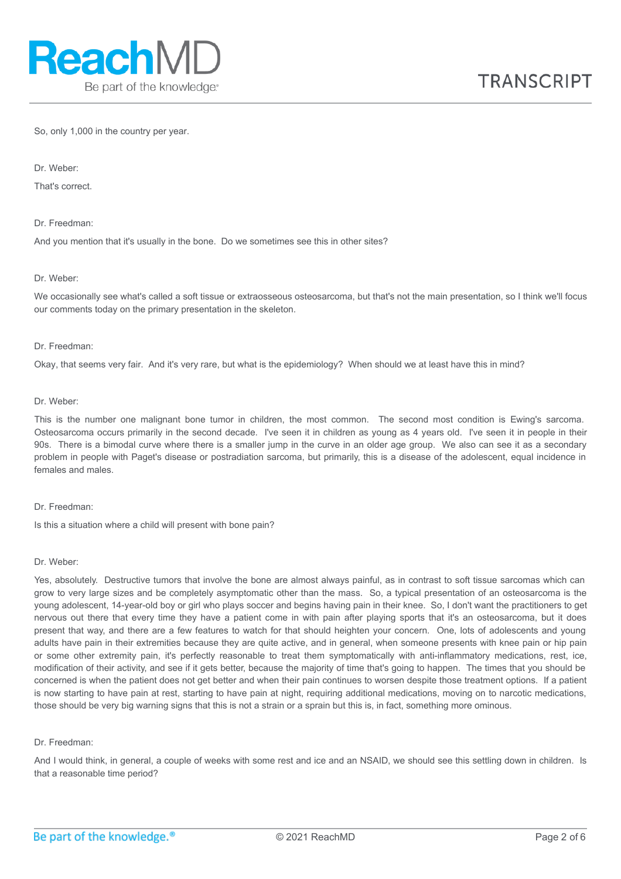So, only 1,000 in the country per year.

Dr. Weber:

That's correct.

Dr. Freedman:

And you mention that it's usually in the bone. Do we sometimes see this in other sites?

#### Dr. Weber:

We occasionally see what's called a soft tissue or extraosseous osteosarcoma, but that's not the main presentation, so I think we'll focus our comments today on the primary presentation in the skeleton.

#### Dr. Freedman:

Okay, that seems very fair. And it's very rare, but what is the epidemiology? When should we at least have this in mind?

#### Dr. Weber:

This is the number one malignant bone tumor in children, the most common. The second most condition is Ewing's sarcoma. Osteosarcoma occurs primarily in the second decade. I've seen it in children as young as 4 years old. I've seen it in people in their 90s. There is a bimodal curve where there is a smaller jump in the curve in an older age group. We also can see it as a secondary problem in people with Paget's disease or postradiation sarcoma, but primarily, this is a disease of the adolescent, equal incidence in females and males.

#### Dr. Freedman:

Is this a situation where a child will present with bone pain?

#### Dr. Weber:

Yes, absolutely. Destructive tumors that involve the bone are almost always painful, as in contrast to soft tissue sarcomas which can grow to very large sizes and be completely asymptomatic other than the mass. So, a typical presentation of an osteosarcoma is the young adolescent, 14-year-old boy or girl who plays soccer and begins having pain in their knee. So, I don't want the practitioners to get nervous out there that every time they have a patient come in with pain after playing sports that it's an osteosarcoma, but it does present that way, and there are a few features to watch for that should heighten your concern. One, lots of adolescents and young adults have pain in their extremities because they are quite active, and in general, when someone presents with knee pain or hip pain or some other extremity pain, it's perfectly reasonable to treat them symptomatically with anti-inflammatory medications, rest, ice, modification of their activity, and see if it gets better, because the majority of time that's going to happen. The times that you should be concerned is when the patient does not get better and when their pain continues to worsen despite those treatment options. If a patient is now starting to have pain at rest, starting to have pain at night, requiring additional medications, moving on to narcotic medications, those should be very big warning signs that this is not a strain or a sprain but this is, in fact, something more ominous.

#### Dr. Freedman:

And I would think, in general, a couple of weeks with some rest and ice and an NSAID, we should see this settling down in children. Is that a reasonable time period?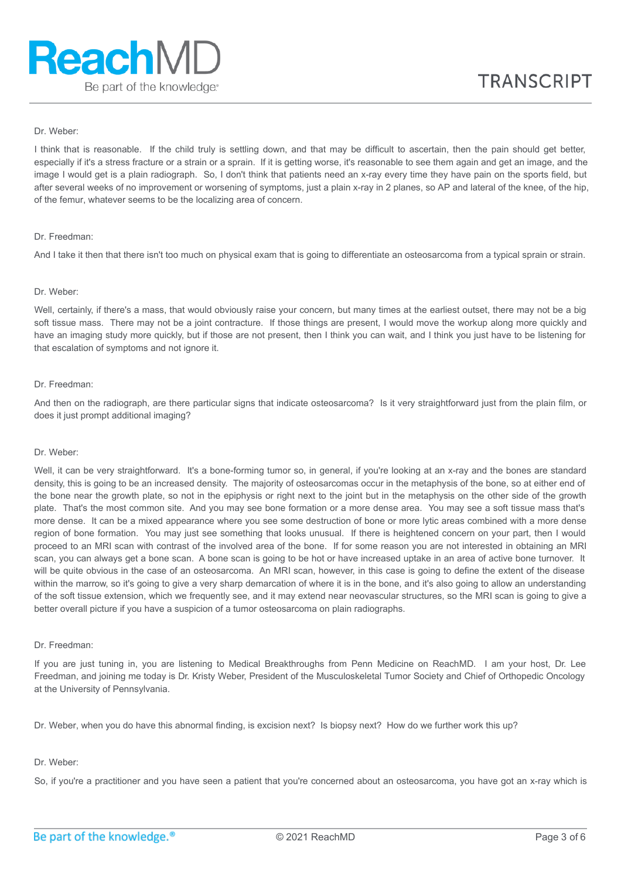## Dr. Weber:

I think that is reasonable. If the child truly is settling down, and that may be difficult to ascertain, then the pain should get better, especially if it's a stress fracture or a strain or a sprain. If it is getting worse, it's reasonable to see them again and get an image, and the image I would get is a plain radiograph. So, I don't think that patients need an x-ray every time they have pain on the sports field, but after several weeks of no improvement or worsening of symptoms, just a plain x-ray in 2 planes, so AP and lateral of the knee, of the hip, of the femur, whatever seems to be the localizing area of concern.

#### Dr. Freedman:

And I take it then that there isn't too much on physical exam that is going to differentiate an osteosarcoma from a typical sprain or strain.

## Dr. Weber:

Well, certainly, if there's a mass, that would obviously raise your concern, but many times at the earliest outset, there may not be a big soft tissue mass. There may not be a joint contracture. If those things are present, I would move the workup along more quickly and have an imaging study more quickly, but if those are not present, then I think you can wait, and I think you just have to be listening for that escalation of symptoms and not ignore it.

#### Dr. Freedman:

And then on the radiograph, are there particular signs that indicate osteosarcoma? Is it very straightforward just from the plain film, or does it just prompt additional imaging?

## Dr. Weber:

Well, it can be very straightforward. It's a bone-forming tumor so, in general, if you're looking at an x-ray and the bones are standard density, this is going to be an increased density. The majority of osteosarcomas occur in the metaphysis of the bone, so at either end of the bone near the growth plate, so not in the epiphysis or right next to the joint but in the metaphysis on the other side of the growth plate. That's the most common site. And you may see bone formation or a more dense area. You may see a soft tissue mass that's more dense. It can be a mixed appearance where you see some destruction of bone or more lytic areas combined with a more dense region of bone formation. You may just see something that looks unusual. If there is heightened concern on your part, then I would proceed to an MRI scan with contrast of the involved area of the bone. If for some reason you are not interested in obtaining an MRI scan, you can always get a bone scan. A bone scan is going to be hot or have increased uptake in an area of active bone turnover. It will be quite obvious in the case of an osteosarcoma. An MRI scan, however, in this case is going to define the extent of the disease within the marrow, so it's going to give a very sharp demarcation of where it is in the bone, and it's also going to allow an understanding of the soft tissue extension, which we frequently see, and it may extend near neovascular structures, so the MRI scan is going to give a better overall picture if you have a suspicion of a tumor osteosarcoma on plain radiographs.

## Dr. Freedman:

If you are just tuning in, you are listening to Medical Breakthroughs from Penn Medicine on ReachMD. I am your host, Dr. Lee Freedman, and joining me today is Dr. Kristy Weber, President of the Musculoskeletal Tumor Society and Chief of Orthopedic Oncology at the University of Pennsylvania.

Dr. Weber, when you do have this abnormal finding, is excision next? Is biopsy next? How do we further work this up?

## Dr. Weber:

So, if you're a practitioner and you have seen a patient that you're concerned about an osteosarcoma, you have got an x-ray which is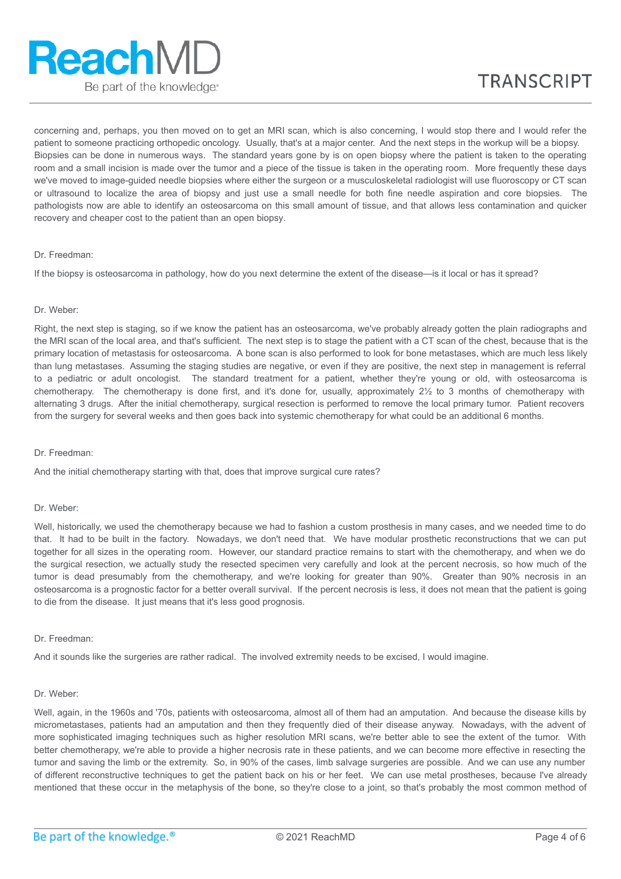concerning and, perhaps, you then moved on to get an MRI scan, which is also concerning, I would stop there and I would refer the patient to someone practicing orthopedic oncology. Usually, that's at a major center. And the next steps in the workup will be a biopsy. Biopsies can be done in numerous ways. The standard years gone by is on open biopsy where the patient is taken to the operating room and a small incision is made over the tumor and a piece of the tissue is taken in the operating room. More frequently these days we've moved to image-guided needle biopsies where either the surgeon or a musculoskeletal radiologist will use fluoroscopy or CT scan or ultrasound to localize the area of biopsy and just use a small needle for both fine needle aspiration and core biopsies. The pathologists now are able to identify an osteosarcoma on this small amount of tissue, and that allows less contamination and quicker recovery and cheaper cost to the patient than an open biopsy.

## Dr. Freedman:

If the biopsy is osteosarcoma in pathology, how do you next determine the extent of the disease—is it local or has it spread?

#### Dr. Weber:

Right, the next step is staging, so if we know the patient has an osteosarcoma, we've probably already gotten the plain radiographs and the MRI scan of the local area, and that's sufficient. The next step is to stage the patient with a CT scan of the chest, because that is the primary location of metastasis for osteosarcoma. A bone scan is also performed to look for bone metastases, which are much less likely than lung metastases. Assuming the staging studies are negative, or even if they are positive, the next step in management is referral to a pediatric or adult oncologist. The standard treatment for a patient, whether they're young or old, with osteosarcoma is chemotherapy. The chemotherapy is done first, and it's done for, usually, approximately 2½ to 3 months of chemotherapy with alternating 3 drugs. After the initial chemotherapy, surgical resection is performed to remove the local primary tumor. Patient recovers from the surgery for several weeks and then goes back into systemic chemotherapy for what could be an additional 6 months.

## Dr. Freedman:

And the initial chemotherapy starting with that, does that improve surgical cure rates?

## Dr. Weber:

Well, historically, we used the chemotherapy because we had to fashion a custom prosthesis in many cases, and we needed time to do that. It had to be built in the factory. Nowadays, we don't need that. We have modular prosthetic reconstructions that we can put together for all sizes in the operating room. However, our standard practice remains to start with the chemotherapy, and when we do the surgical resection, we actually study the resected specimen very carefully and look at the percent necrosis, so how much of the tumor is dead presumably from the chemotherapy, and we're looking for greater than 90%. Greater than 90% necrosis in an osteosarcoma is a prognostic factor for a better overall survival. If the percent necrosis is less, it does not mean that the patient is going to die from the disease. It just means that it's less good prognosis.

#### Dr. Freedman:

And it sounds like the surgeries are rather radical. The involved extremity needs to be excised, I would imagine.

#### Dr. Weber:

Well, again, in the 1960s and '70s, patients with osteosarcoma, almost all of them had an amputation. And because the disease kills by micrometastases, patients had an amputation and then they frequently died of their disease anyway. Nowadays, with the advent of more sophisticated imaging techniques such as higher resolution MRI scans, we're better able to see the extent of the tumor. With better chemotherapy, we're able to provide a higher necrosis rate in these patients, and we can become more effective in resecting the tumor and saving the limb or the extremity. So, in 90% of the cases, limb salvage surgeries are possible. And we can use any number of different reconstructive techniques to get the patient back on his or her feet. We can use metal prostheses, because I've already mentioned that these occur in the metaphysis of the bone, so they're close to a joint, so that's probably the most common method of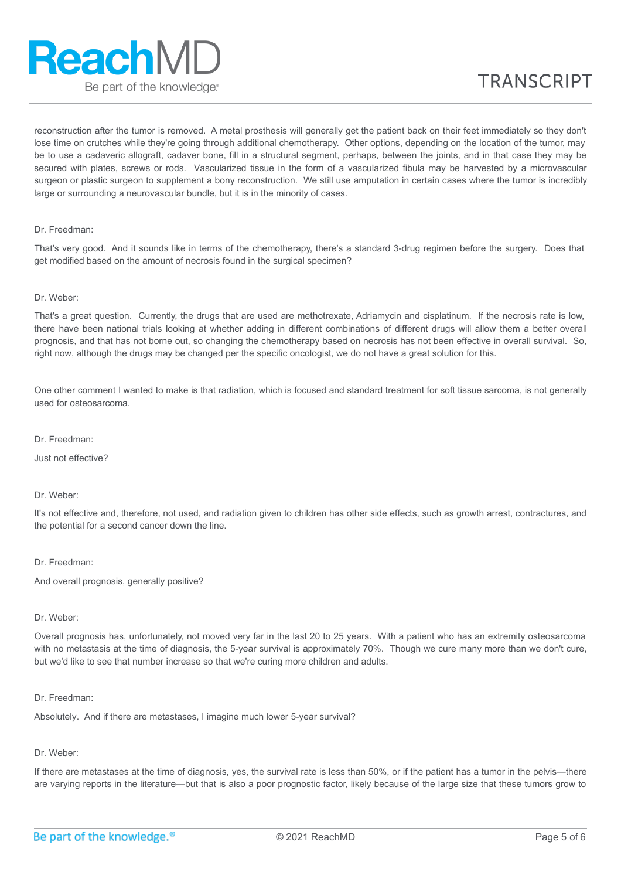# **ReachMD** Be part of the knowledge.

reconstruction after the tumor is removed. A metal prosthesis will generally get the patient back on their feet immediately so they don't lose time on crutches while they're going through additional chemotherapy. Other options, depending on the location of the tumor, may be to use a cadaveric allograft, cadaver bone, fill in a structural segment, perhaps, between the joints, and in that case they may be secured with plates, screws or rods. Vascularized tissue in the form of a vascularized fibula may be harvested by a microvascular surgeon or plastic surgeon to supplement a bony reconstruction. We still use amputation in certain cases where the tumor is incredibly large or surrounding a neurovascular bundle, but it is in the minority of cases.

## Dr. Freedman:

That's very good. And it sounds like in terms of the chemotherapy, there's a standard 3-drug regimen before the surgery. Does that get modified based on the amount of necrosis found in the surgical specimen?

## Dr. Weber:

That's a great question. Currently, the drugs that are used are methotrexate, Adriamycin and cisplatinum. If the necrosis rate is low, there have been national trials looking at whether adding in different combinations of different drugs will allow them a better overall prognosis, and that has not borne out, so changing the chemotherapy based on necrosis has not been effective in overall survival. So, right now, although the drugs may be changed per the specific oncologist, we do not have a great solution for this.

One other comment I wanted to make is that radiation, which is focused and standard treatment for soft tissue sarcoma, is not generally used for osteosarcoma.

Dr. Freedman:

Just not effective?

#### Dr. Weber:

It's not effective and, therefore, not used, and radiation given to children has other side effects, such as growth arrest, contractures, and the potential for a second cancer down the line.

#### Dr. Freedman:

And overall prognosis, generally positive?

#### Dr. Weber:

Overall prognosis has, unfortunately, not moved very far in the last 20 to 25 years. With a patient who has an extremity osteosarcoma with no metastasis at the time of diagnosis, the 5-year survival is approximately 70%. Though we cure many more than we don't cure, but we'd like to see that number increase so that we're curing more children and adults.

#### Dr. Freedman:

Absolutely. And if there are metastases, I imagine much lower 5-year survival?

## Dr. Weber:

If there are metastases at the time of diagnosis, yes, the survival rate is less than 50%, or if the patient has a tumor in the pelvis—there are varying reports in the literature—but that is also a poor prognostic factor, likely because of the large size that these tumors grow to